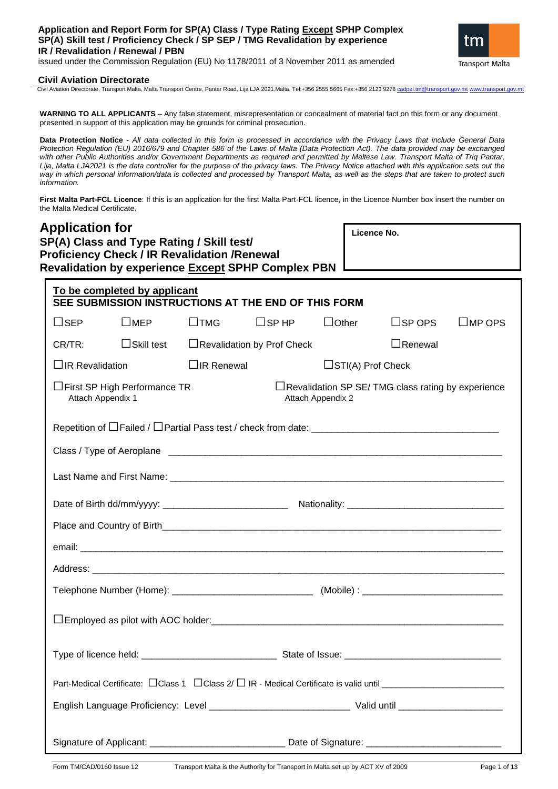## **Application and Report Form for SP(A) Class / Type Rating Except SPHP Complex SP(A) Skill test / Proficiency Check / SP SEP / TMG Revalidation by experience IR / Revalidation / Renewal / PBN**

issued under the Commission Regulation (EU) No 1178/2011 of 3 November 2011 as amended



### **Civil Aviation Directorate**

Civil Aviation Directorate, Transport Malta, Malta Transport Centre, Pantar Road, Lija LJA 2021,Malta. Tel:+356 2555 5665 Fax:+356 2123 9278

**WARNING TO ALL APPLICANTS** – Any false statement, misrepresentation or concealment of material fact on this form or any document presented in support of this application may be grounds for criminal prosecution.

**Data Protection Notice -** *All data collected in this form is processed in accordance with the Privacy Laws that include General Data Protection Regulation (EU) 2016/679 and Chapter 586 of the Laws of Malta (Data Protection Act). The data provided may be exchanged with other Public Authorities and/or Government Departments as required and permitted by Maltese Law. Transport Malta of Triq Pantar,*  Lija, Malta LJA2021 is the data controller for the purpose of the privacy laws. The Privacy Notice attached with this application sets out the *way in which personal information/data is collected and processed by Transport Malta, as well as the steps that are taken to protect such information.*

**First Malta Part-FCL Licence**: If this is an application for the first Malta Part-FCL licence, in the Licence Number box insert the number on the Malta Medical Certificate.

| <b>Application for</b><br>SP(A) Class and Type Rating / Skill test/<br><b>Proficiency Check / IR Revalidation / Renewal</b><br><b>Revalidation by experience Except SPHP Complex PBN</b> |                                                     |                   | Licence No.  |                                                          |                  |                  |
|------------------------------------------------------------------------------------------------------------------------------------------------------------------------------------------|-----------------------------------------------------|-------------------|--------------|----------------------------------------------------------|------------------|------------------|
| To be completed by applicant<br>SEE SUBMISSION INSTRUCTIONS AT THE END OF THIS FORM                                                                                                      |                                                     |                   |              |                                                          |                  |                  |
| $\square$ MEP<br>$\square$ SEP                                                                                                                                                           | $\square$ TMG                                       | $\Box$ SPHP       | $\Box$ Other |                                                          | $\square$ SP OPS | $\square$ MP OPS |
| CR/TR:                                                                                                                                                                                   | $\Box$ Skill test $\Box$ Revalidation by Prof Check |                   |              |                                                          | $\Box$ Renewal   |                  |
| $\Box$ IR Revalidation                                                                                                                                                                   | $\Box$ IR Renewal                                   |                   |              | $\Box$ STI(A) Prof Check                                 |                  |                  |
| □First SP High Performance TR<br>Attach Appendix 1                                                                                                                                       |                                                     | Attach Appendix 2 |              | $\Box$ Revalidation SP SE/TMG class rating by experience |                  |                  |
|                                                                                                                                                                                          |                                                     |                   |              |                                                          |                  |                  |
|                                                                                                                                                                                          |                                                     |                   |              |                                                          |                  |                  |
|                                                                                                                                                                                          |                                                     |                   |              |                                                          |                  |                  |
|                                                                                                                                                                                          |                                                     |                   |              |                                                          |                  |                  |
|                                                                                                                                                                                          |                                                     |                   |              |                                                          |                  |                  |
|                                                                                                                                                                                          |                                                     |                   |              |                                                          |                  |                  |
|                                                                                                                                                                                          |                                                     |                   |              |                                                          |                  |                  |
|                                                                                                                                                                                          |                                                     |                   |              |                                                          |                  |                  |
|                                                                                                                                                                                          |                                                     |                   |              |                                                          |                  |                  |
|                                                                                                                                                                                          |                                                     |                   |              |                                                          |                  |                  |
|                                                                                                                                                                                          |                                                     |                   |              |                                                          |                  |                  |
|                                                                                                                                                                                          |                                                     |                   |              |                                                          |                  |                  |
| Signature of Applicant: __________________________________ Date of Signature: ________________________________                                                                           |                                                     |                   |              |                                                          |                  |                  |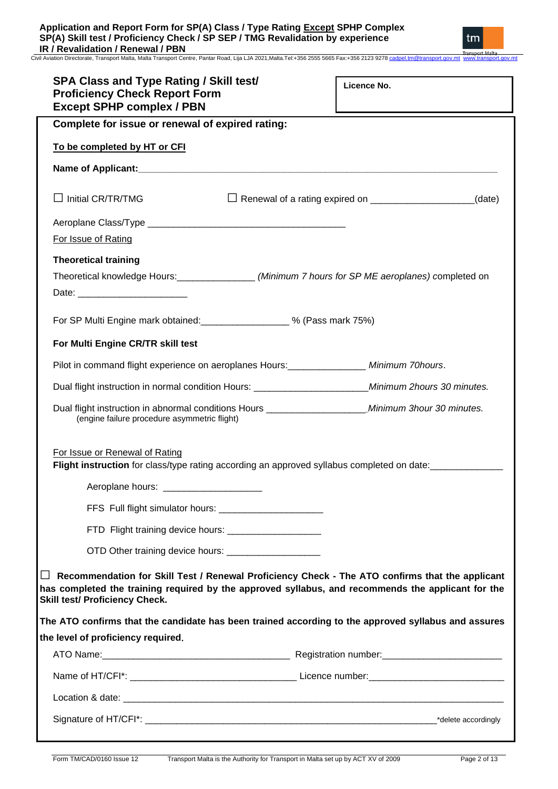| <b>SPA Class and Type Rating / Skill test/</b><br><b>Proficiency Check Report Form</b><br><b>Except SPHP complex / PBN</b> | Licence No.                                                         |
|----------------------------------------------------------------------------------------------------------------------------|---------------------------------------------------------------------|
| Complete for issue or renewal of expired rating:                                                                           |                                                                     |
| To be completed by HT or CFI                                                                                               |                                                                     |
|                                                                                                                            |                                                                     |
| $\Box$ Initial CR/TR/TMG                                                                                                   | Renewal of a rating expired on ______________________________(date) |
|                                                                                                                            |                                                                     |
| For Issue of Rating                                                                                                        |                                                                     |
| <b>Theoretical training</b>                                                                                                |                                                                     |
| Theoretical knowledge Hours: _________________ (Minimum 7 hours for SP ME aeroplanes) completed on                         |                                                                     |
|                                                                                                                            |                                                                     |
| For SP Multi Engine mark obtained:<br><u> [2010]</u> % (Pass mark 75%)                                                     |                                                                     |
| For Multi Engine CR/TR skill test                                                                                          |                                                                     |
| Pilot in command flight experience on aeroplanes Hours: Minimum 70 Minimum 70 hours.                                       |                                                                     |
| Dual flight instruction in normal condition Hours: _____________________________                                           | Minimum 2hours 30 minutes.                                          |

Dual flight instruction in abnormal conditions Hours \_\_\_\_\_\_\_\_\_\_\_\_\_\_\_\_\_\_\_\_*Minimum 3hour 30 minutes.* (engine failure procedure asymmetric flight)

For Issue or Renewal of Rating

**Flight instruction** for class/type rating according an approved syllabus completed on date:

Aeroplane hours: \_\_\_\_\_\_\_\_\_\_\_\_

FFS Full flight simulator hours: \_\_\_\_\_\_\_\_\_\_\_\_\_\_\_\_\_\_\_\_

FTD Flight training device hours: \_\_\_\_\_\_\_\_\_\_\_\_\_\_\_\_\_\_

OTD Other training device hours: \_\_\_\_\_\_\_\_\_\_\_\_\_\_\_\_\_\_

□ **Recommendation for Skill Test / Renewal Proficiency Check - The ATO confirms that the applicant has completed the training required by the approved syllabus, and recommends the applicant for the Skill test/ Proficiency Check.**

**The ATO confirms that the candidate has been trained according to the approved syllabus and assures the level of proficiency required.**

|                                                                                                                                                                                                                               | Registration number: Network and Contact the Registration number: |
|-------------------------------------------------------------------------------------------------------------------------------------------------------------------------------------------------------------------------------|-------------------------------------------------------------------|
|                                                                                                                                                                                                                               |                                                                   |
| Location & date: the contract of the contract of the contract of the contract of the contract of the contract of the contract of the contract of the contract of the contract of the contract of the contract of the contract |                                                                   |
|                                                                                                                                                                                                                               | *delete accordingly                                               |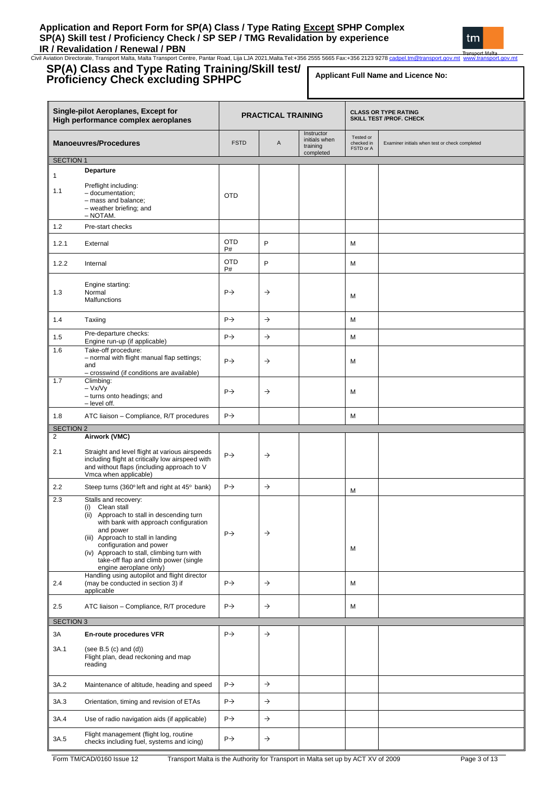### **Application and Report Form for SP(A) Class / Type Rating Except SPHP Complex SP(A) Skill test / Proficiency Check / SP SEP / TMG Revalidation by experience IR / Revalidation / Renewal / PBN**

Civil Aviation Directorate, Transport Malta, Malta Transport Centre, Pantar Road, Lija LJA 2021,Malta.Tel:+356 2555 5665 Fax:+356 2123 927[8 cadpel.tm@transport.gov.mt](mailto:cadpel.tm@transport.gov.mt) www.transport.gov.mt

#### **SP(A) Class and Type Rating Training/Skill test/ Proficiency Check excluding SPHPC Single-pilot Aeroplanes, Except for High performance complex aeroplanes<br>High performance complex aeroplanes <b>PRACTICAL TRAINING CLASS OR TYPE RATING<br>SKILL TEST /PROF. CHECK Manoeuvres/Procedures FICE A** Instructor initials when training complet Tested or checked in FSTD or A Examiner initials when test or check completed SECTION 1 1 1.1 **Departure** Preflight including: – documentation; – mass and balance; – weather briefing; and – NOTAM. OTD 1.2 Pre-start checks 1.2.1 External OTD P# P M 1.2.2 Internal OTD P# P M 1.3 Engine starting: Normal **Malfunctions**  $P \rightarrow$   $\rightarrow$   $M$ 1.4 Taxiing P M 1.5 Pre-departure checks: Pre-departure checks:<br>
Engine run-up (if applicable)  $\begin{vmatrix} P \rightarrow \\ \end{vmatrix}$   $\rightarrow$ 1.6 Take-off procedure: – normal with flight manual flap settings; and – crosswind (if conditions are available)  $P \rightarrow$   $\rightarrow$  M 1.7 Climbing: – Vx/Vy – turns onto headings; and – level off.  $P \rightarrow$   $\rightarrow$  M 1.8 ATC liaison – Compliance, R/T procedures P M SECTION 2 2 2.1 **Airwork (VMC)** Straight and level flight at various airspeeds including flight at critically low airspeed with and without flaps (including approach to V Vmca when applicable)  $P \rightarrow$   $\rightarrow$ 2.2 Steep turns (360° left and right at 45° bank)  $\left| P \rightarrow \right|$   $\rightarrow$   $\left| M \right|$ 2.3 Stalls and recovery: (i) Clean stall (ii) Approach to stall in descending turn with bank with approach configuration and power (iii) Approach to stall in landing configuration and power (iv) Approach to stall, climbing turn with take-off flap and climb power (single engine aeroplane only)  $P \rightarrow$ M  $24$ Handling using autopilot and flight director (may be conducted in section 3) if applicable  $P \rightarrow$   $\rightarrow$  M 2.5 ATC liaison – Compliance, R/T procedure  $\begin{array}{|c|c|c|c|c|c|c|c|c|} \hline \end{array}$   $\rightarrow$  M SECTION 3 3A 3A.1 **En-route procedures VFR** (see B.5 (c) and (d)) Flight plan, dead reckoning and map reading  $P \rightarrow$   $\rightarrow$ 3A.2 Maintenance of altitude, heading and speed  $\begin{array}{ccc} | & \rightarrow \\ \end{array}$ 3A.3 Orientation, timing and revision of ETAs P 3A.4 Use of radio navigation aids (if applicable)  $\begin{array}{|c|c|c|c|c|}\n\end{array}$   $\rightarrow$ Flight management (flight log, routine **Applicant Full Name and Licence No:**

Thight management (inght log, fourine<br>checks including fuel, systems and icing)  $\begin{vmatrix} P \rightarrow \end{vmatrix}$ 

3A.5

Form TM/CAD/0160 Issue 12 Transport Malta is the Authority for Transport in Malta set up by ACT XV of 2009 Page 3 of 13

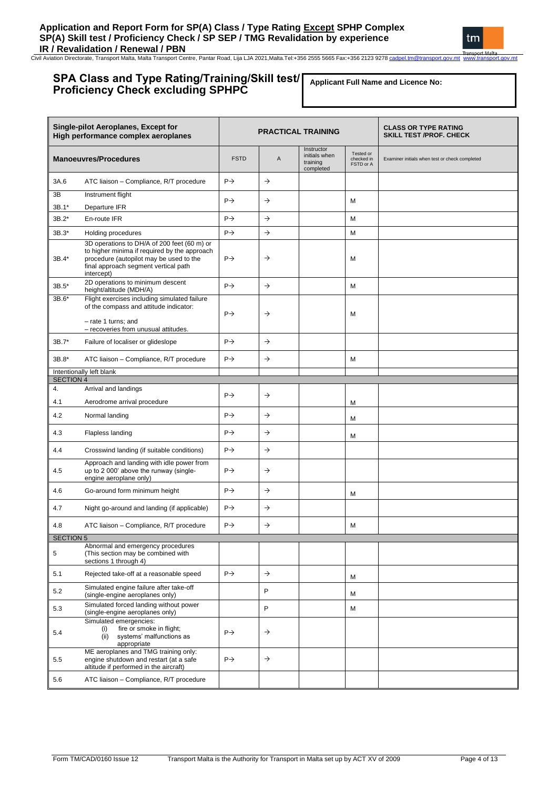IR / Revalidation / Renewal / PBN<br>Civil Aviation Directorate, Transport Malta, Malta Transport Centre, Pantar Road, Lija LJA 2021,Malta.Tel:+356 2555 5665 Fax:+356 2123 9278 <u>cadpel.tm@transport.gov.mt\_www.transport.gov.mt</u> nsport Malta

## **SPA Class and Type Rating/Training/Skill test/ Proficiency Check excluding SPHPC**

**Applicant Full Name and Licence No:**

tm

|                                                  | <b>Single-pilot Aeroplanes, Except for</b><br>High performance complex aeroplanes                                                                                              | <b>PRACTICAL TRAINING</b> |               |                                                      |                                      | <b>CLASS OR TYPE RATING</b><br><b>SKILL TEST /PROF. CHECK</b> |
|--------------------------------------------------|--------------------------------------------------------------------------------------------------------------------------------------------------------------------------------|---------------------------|---------------|------------------------------------------------------|--------------------------------------|---------------------------------------------------------------|
|                                                  | <b>Manoeuvres/Procedures</b>                                                                                                                                                   | <b>FSTD</b>               | Α             | Instructor<br>initials when<br>training<br>completed | Tested or<br>checked in<br>FSTD or A | Examiner initials when test or check completed                |
| 3A.6                                             | ATC liaison - Compliance, R/T procedure                                                                                                                                        | $P \rightarrow$           | $\rightarrow$ |                                                      |                                      |                                                               |
| 3B                                               | Instrument flight                                                                                                                                                              | $P\rightarrow$            | $\rightarrow$ |                                                      | M                                    |                                                               |
| $3B.1*$                                          | Departure IFR                                                                                                                                                                  |                           |               |                                                      |                                      |                                                               |
| $3B.2*$                                          | En-route IFR                                                                                                                                                                   | $P \rightarrow$           | $\rightarrow$ |                                                      | M                                    |                                                               |
| 3B.3*                                            | Holding procedures                                                                                                                                                             | $P \rightarrow$           | $\rightarrow$ |                                                      | M                                    |                                                               |
| 3B.4*                                            | 3D operations to DH/A of 200 feet (60 m) or<br>to higher minima if required by the approach<br>procedure (autopilot may be used to the<br>final approach segment vertical path |                           | $\rightarrow$ |                                                      | M                                    |                                                               |
| $3B.5*$                                          | intercept)<br>2D operations to minimum descent<br>height/altitude (MDH/A)                                                                                                      |                           | $\rightarrow$ |                                                      | M                                    |                                                               |
| 3B.6*                                            | Flight exercises including simulated failure                                                                                                                                   |                           |               |                                                      |                                      |                                                               |
|                                                  | of the compass and attitude indicator:<br>- rate 1 turns; and<br>- recoveries from unusual attitudes.                                                                          |                           | $\rightarrow$ |                                                      | M                                    |                                                               |
| 3B.7*                                            | Failure of localiser or glideslope                                                                                                                                             | $P \rightarrow$           | $\rightarrow$ |                                                      |                                      |                                                               |
| ATC liaison - Compliance, R/T procedure<br>3B.8* |                                                                                                                                                                                | $P \rightarrow$           | $\rightarrow$ |                                                      | M                                    |                                                               |
| Intentionally left blank<br><b>SECTION 4</b>     |                                                                                                                                                                                |                           |               |                                                      |                                      |                                                               |
| 4.                                               | Arrival and landings                                                                                                                                                           |                           |               |                                                      |                                      |                                                               |
| 4.1                                              | Aerodrome arrival procedure                                                                                                                                                    | $P \rightarrow$           | $\rightarrow$ |                                                      | M                                    |                                                               |
| 4.2                                              | Normal landing                                                                                                                                                                 |                           | $\rightarrow$ |                                                      | M                                    |                                                               |
| 4.3                                              | Flapless landing                                                                                                                                                               | $P\rightarrow$            | $\rightarrow$ |                                                      | M                                    |                                                               |
| 4.4                                              | Crosswind landing (if suitable conditions)                                                                                                                                     | $P \rightarrow$           | $\rightarrow$ |                                                      |                                      |                                                               |
| 4.5                                              | Approach and landing with idle power from<br>up to 2 000' above the runway (single-<br>engine aeroplane only)                                                                  | $P \rightarrow$           | $\rightarrow$ |                                                      |                                      |                                                               |
| 4.6                                              | Go-around form minimum height                                                                                                                                                  | $P \rightarrow$           | $\rightarrow$ |                                                      | M                                    |                                                               |
| 4.7                                              | Night go-around and landing (if applicable)                                                                                                                                    | $P \rightarrow$           | $\rightarrow$ |                                                      |                                      |                                                               |
| 4.8                                              | ATC liaison - Compliance, R/T procedure                                                                                                                                        | $P \rightarrow$           | $\rightarrow$ |                                                      | M                                    |                                                               |
| <b>SECTION 5</b>                                 |                                                                                                                                                                                |                           |               |                                                      |                                      |                                                               |
| 5                                                | Abnormal and emergency procedures<br>(This section may be combined with<br>sections 1 through 4)                                                                               |                           |               |                                                      |                                      |                                                               |
| 5.1                                              | Rejected take-off at a reasonable speed                                                                                                                                        | $P \rightarrow$           | $\rightarrow$ |                                                      | М                                    |                                                               |
| 5.2                                              | Simulated engine failure after take-off<br>(single-engine aeroplanes only)                                                                                                     |                           | P             |                                                      | M                                    |                                                               |
| 5.3                                              | Simulated forced landing without power<br>(single-engine aeroplanes only)                                                                                                      |                           | P             |                                                      | М                                    |                                                               |
| 5.4                                              | Simulated emergencies:<br>fire or smoke in flight;<br>(i)<br>(ii)<br>systems' malfunctions as<br>appropriate                                                                   | $P \rightarrow$           | $\rightarrow$ |                                                      |                                      |                                                               |
| 5.5                                              | ME aeroplanes and TMG training only:<br>engine shutdown and restart (at a safe<br>altitude if performed in the aircraft)                                                       | $P \rightarrow$           | $\rightarrow$ |                                                      |                                      |                                                               |
| 5.6                                              | ATC liaison - Compliance, R/T procedure                                                                                                                                        |                           |               |                                                      |                                      |                                                               |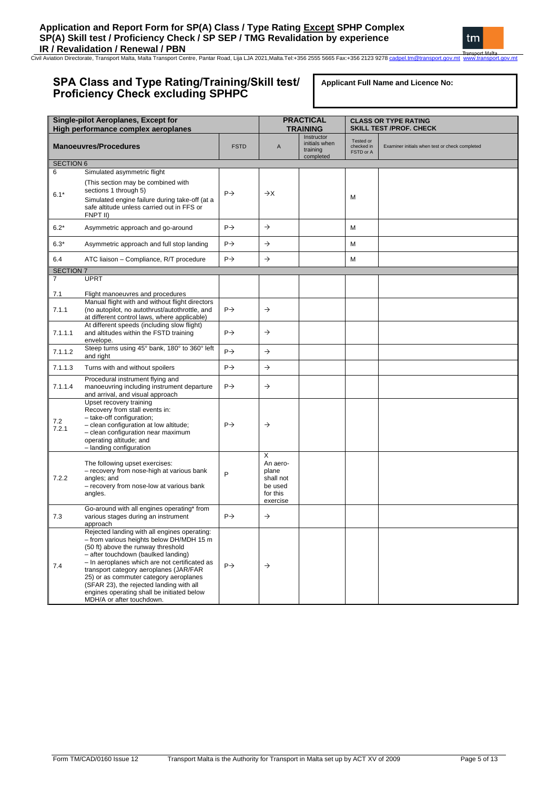IR / Revalidation / Renewal / PBN<br>Civil Aviation Directorate, Transport Malta, Malta Transport Centre, Pantar Road, Lija LJA 2021,Malta.Tel:+356 2555 5665 Fax:+356 2123 9278 <u>cadpel.tm@transport.gov.mt\_www.transport.gov.mt</u>

## **SPA Class and Type Rating/Training/Skill test/ Proficiency Check excluding SPHPC**

**Applicant Full Name and Licence No:**

| <b>Single-pilot Aeroplanes, Except for</b><br>High performance complex aeroplanes |                                                                                                                                                                                                                                                                                                                                                                                                                                   |                 | <b>PRACTICAL</b><br><b>TRAINING</b>                                    |                                                      |                                      | <b>CLASS OR TYPE RATING</b><br><b>SKILL TEST /PROF. CHECK</b> |
|-----------------------------------------------------------------------------------|-----------------------------------------------------------------------------------------------------------------------------------------------------------------------------------------------------------------------------------------------------------------------------------------------------------------------------------------------------------------------------------------------------------------------------------|-----------------|------------------------------------------------------------------------|------------------------------------------------------|--------------------------------------|---------------------------------------------------------------|
|                                                                                   | <b>Manoeuvres/Procedures</b>                                                                                                                                                                                                                                                                                                                                                                                                      | <b>FSTD</b>     | $\boldsymbol{\mathsf{A}}$                                              | Instructor<br>initials when<br>training<br>completed | Tested or<br>checked in<br>FSTD or A | Examiner initials when test or check completed                |
| <b>SECTION 6</b>                                                                  |                                                                                                                                                                                                                                                                                                                                                                                                                                   |                 |                                                                        |                                                      |                                      |                                                               |
| 6                                                                                 | Simulated asymmetric flight                                                                                                                                                                                                                                                                                                                                                                                                       |                 |                                                                        |                                                      |                                      |                                                               |
| $6.1*$                                                                            | (This section may be combined with<br>sections 1 through 5)<br>Simulated engine failure during take-off (at a<br>safe altitude unless carried out in FFS or                                                                                                                                                                                                                                                                       | $P \rightarrow$ | $\rightarrow$ X                                                        |                                                      | M                                    |                                                               |
|                                                                                   | FNPT II)                                                                                                                                                                                                                                                                                                                                                                                                                          |                 |                                                                        |                                                      |                                      |                                                               |
| $6.2*$                                                                            | Asymmetric approach and go-around                                                                                                                                                                                                                                                                                                                                                                                                 | $P \rightarrow$ | $\rightarrow$                                                          |                                                      | M                                    |                                                               |
| $6.3*$                                                                            | Asymmetric approach and full stop landing                                                                                                                                                                                                                                                                                                                                                                                         | $P \rightarrow$ | $\rightarrow$                                                          |                                                      | M                                    |                                                               |
| 6.4                                                                               | ATC liaison - Compliance, R/T procedure                                                                                                                                                                                                                                                                                                                                                                                           | $P \rightarrow$ | $\rightarrow$                                                          |                                                      | M                                    |                                                               |
| <b>SECTION 7</b>                                                                  |                                                                                                                                                                                                                                                                                                                                                                                                                                   |                 |                                                                        |                                                      |                                      |                                                               |
| $\overline{7}$                                                                    | <b>UPRT</b>                                                                                                                                                                                                                                                                                                                                                                                                                       |                 |                                                                        |                                                      |                                      |                                                               |
| 7.1                                                                               | Flight manoeuvres and procedures                                                                                                                                                                                                                                                                                                                                                                                                  |                 |                                                                        |                                                      |                                      |                                                               |
| 7.1.1                                                                             | Manual flight with and without flight directors<br>(no autopilot, no autothrust/autothrottle, and<br>at different control laws, where applicable)                                                                                                                                                                                                                                                                                 | $P \rightarrow$ | $\rightarrow$                                                          |                                                      |                                      |                                                               |
| 7.1.1.1                                                                           | At different speeds (including slow flight)<br>and altitudes within the FSTD training<br>envelope.                                                                                                                                                                                                                                                                                                                                | $P \rightarrow$ | $\rightarrow$                                                          |                                                      |                                      |                                                               |
| 7.1.1.2                                                                           | Steep turns using 45° bank, 180° to 360° left<br>and right                                                                                                                                                                                                                                                                                                                                                                        | $P \rightarrow$ | $\rightarrow$                                                          |                                                      |                                      |                                                               |
| 7.1.1.3                                                                           | Turns with and without spoilers                                                                                                                                                                                                                                                                                                                                                                                                   | $P \rightarrow$ | $\rightarrow$                                                          |                                                      |                                      |                                                               |
| 7.1.1.4                                                                           | Procedural instrument flying and<br>manoeuvring including instrument departure<br>and arrival, and visual approach                                                                                                                                                                                                                                                                                                                | $P \rightarrow$ | $\rightarrow$                                                          |                                                      |                                      |                                                               |
| 7.2<br>7.2.1                                                                      | Upset recovery training<br>Recovery from stall events in:<br>- take-off configuration;<br>- clean configuration at low altitude;<br>- clean configuration near maximum<br>operating altitude; and<br>- landing configuration                                                                                                                                                                                                      | $P \rightarrow$ | $\rightarrow$                                                          |                                                      |                                      |                                                               |
| 7.2.2                                                                             | The following upset exercises:<br>- recovery from nose-high at various bank<br>angles; and<br>- recovery from nose-low at various bank<br>angles.                                                                                                                                                                                                                                                                                 | P               | X<br>An aero-<br>plane<br>shall not<br>be used<br>for this<br>exercise |                                                      |                                      |                                                               |
| 7.3                                                                               | Go-around with all engines operating* from<br>various stages during an instrument<br>approach                                                                                                                                                                                                                                                                                                                                     | $P \rightarrow$ | $\rightarrow$                                                          |                                                      |                                      |                                                               |
| 7.4                                                                               | Rejected landing with all engines operating:<br>- from various heights below DH/MDH 15 m<br>(50 ft) above the runway threshold<br>- after touchdown (baulked landing)<br>- In aeroplanes which are not certificated as<br>transport category aeroplanes (JAR/FAR<br>25) or as commuter category aeroplanes<br>(SFAR 23), the rejected landing with all<br>engines operating shall be initiated below<br>MDH/A or after touchdown. | $P \rightarrow$ | $\rightarrow$                                                          |                                                      |                                      |                                                               |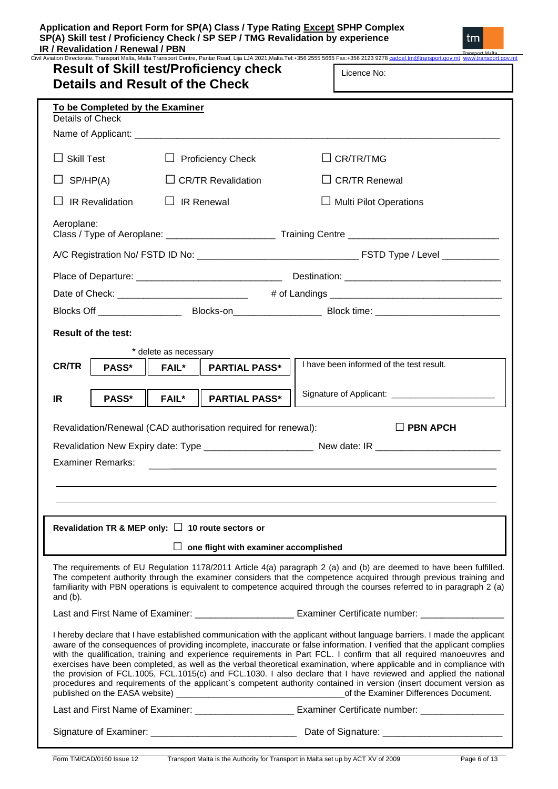| To be Completed by the Examiner<br><b>Details of Check</b> |                                                        |                                                                                                                                                                                                                                                                                                                                                                                                                                                                                                                                                                                                                                                                                                                                                                                                                                                                        |
|------------------------------------------------------------|--------------------------------------------------------|------------------------------------------------------------------------------------------------------------------------------------------------------------------------------------------------------------------------------------------------------------------------------------------------------------------------------------------------------------------------------------------------------------------------------------------------------------------------------------------------------------------------------------------------------------------------------------------------------------------------------------------------------------------------------------------------------------------------------------------------------------------------------------------------------------------------------------------------------------------------|
|                                                            |                                                        |                                                                                                                                                                                                                                                                                                                                                                                                                                                                                                                                                                                                                                                                                                                                                                                                                                                                        |
| $\Box$ Skill Test                                          | $\Box$ Proficiency Check                               | $\Box$ CR/TR/TMG                                                                                                                                                                                                                                                                                                                                                                                                                                                                                                                                                                                                                                                                                                                                                                                                                                                       |
| $\Box$ SP/HP(A)                                            | $\Box$ CR/TR Revalidation                              | $\Box$ CR/TR Renewal                                                                                                                                                                                                                                                                                                                                                                                                                                                                                                                                                                                                                                                                                                                                                                                                                                                   |
| $\Box$ IR Revalidation                                     | $\Box$ IR Renewal                                      | $\Box$ Multi Pilot Operations                                                                                                                                                                                                                                                                                                                                                                                                                                                                                                                                                                                                                                                                                                                                                                                                                                          |
| Aeroplane:                                                 |                                                        |                                                                                                                                                                                                                                                                                                                                                                                                                                                                                                                                                                                                                                                                                                                                                                                                                                                                        |
|                                                            |                                                        |                                                                                                                                                                                                                                                                                                                                                                                                                                                                                                                                                                                                                                                                                                                                                                                                                                                                        |
|                                                            |                                                        |                                                                                                                                                                                                                                                                                                                                                                                                                                                                                                                                                                                                                                                                                                                                                                                                                                                                        |
|                                                            |                                                        |                                                                                                                                                                                                                                                                                                                                                                                                                                                                                                                                                                                                                                                                                                                                                                                                                                                                        |
|                                                            |                                                        |                                                                                                                                                                                                                                                                                                                                                                                                                                                                                                                                                                                                                                                                                                                                                                                                                                                                        |
| <b>Result of the test:</b>                                 |                                                        |                                                                                                                                                                                                                                                                                                                                                                                                                                                                                                                                                                                                                                                                                                                                                                                                                                                                        |
|                                                            | * delete as necessary                                  |                                                                                                                                                                                                                                                                                                                                                                                                                                                                                                                                                                                                                                                                                                                                                                                                                                                                        |
| <b>CR/TR</b><br>PASS*                                      | FAIL*   PARTIAL PASS*                                  | I have been informed of the test result.                                                                                                                                                                                                                                                                                                                                                                                                                                                                                                                                                                                                                                                                                                                                                                                                                               |
|                                                            |                                                        |                                                                                                                                                                                                                                                                                                                                                                                                                                                                                                                                                                                                                                                                                                                                                                                                                                                                        |
| <b>PASS*</b><br>IR.                                        | $FAIL^*$  <br><b>PARTIAL PASS*</b>                     | Signature of Applicant: ______________________________                                                                                                                                                                                                                                                                                                                                                                                                                                                                                                                                                                                                                                                                                                                                                                                                                 |
| <b>Examiner Remarks:</b>                                   |                                                        |                                                                                                                                                                                                                                                                                                                                                                                                                                                                                                                                                                                                                                                                                                                                                                                                                                                                        |
|                                                            |                                                        |                                                                                                                                                                                                                                                                                                                                                                                                                                                                                                                                                                                                                                                                                                                                                                                                                                                                        |
|                                                            | Revalidation TR & MEP only: $\Box$ 10 route sectors or |                                                                                                                                                                                                                                                                                                                                                                                                                                                                                                                                                                                                                                                                                                                                                                                                                                                                        |
|                                                            | $\Box$ one flight with examiner accomplished           |                                                                                                                                                                                                                                                                                                                                                                                                                                                                                                                                                                                                                                                                                                                                                                                                                                                                        |
| and $(b)$ .                                                |                                                        | The requirements of EU Regulation 1178/2011 Article 4(a) paragraph 2 (a) and (b) are deemed to have been fulfilled.<br>The competent authority through the examiner considers that the competence acquired through previous training and<br>familiarity with PBN operations is equivalent to competence acquired through the courses referred to in paragraph 2 (a)                                                                                                                                                                                                                                                                                                                                                                                                                                                                                                    |
|                                                            |                                                        | Last and First Name of Examiner: ________________________ Examiner Certificate number: ___________________                                                                                                                                                                                                                                                                                                                                                                                                                                                                                                                                                                                                                                                                                                                                                             |
|                                                            |                                                        |                                                                                                                                                                                                                                                                                                                                                                                                                                                                                                                                                                                                                                                                                                                                                                                                                                                                        |
|                                                            |                                                        |                                                                                                                                                                                                                                                                                                                                                                                                                                                                                                                                                                                                                                                                                                                                                                                                                                                                        |
|                                                            |                                                        | I hereby declare that I have established communication with the applicant without language barriers. I made the applicant<br>aware of the consequences of providing incomplete, inaccurate or false information. I verified that the applicant complies<br>with the qualification, training and experience requirements in Part FCL. I confirm that all required manoeuvres and<br>exercises have been completed, as well as the verbal theoretical examination, where applicable and in compliance with<br>the provision of FCL.1005, FCL.1015(c) and FCL.1030. I also declare that I have reviewed and applied the national<br>procedures and requirements of the applicant's competent authority contained in version (insert document version as<br>Last and First Name of Examiner: ______________________________ Examiner Certificate number: _________________ |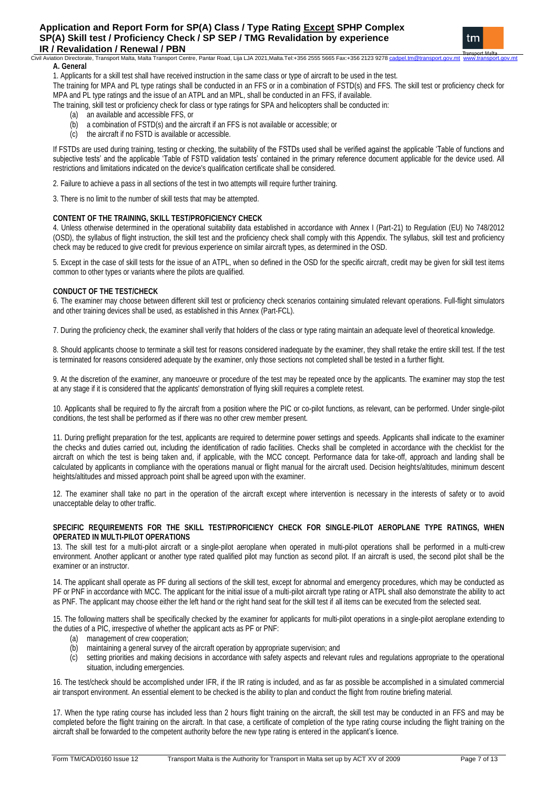#### Civil Aviation Directorate, Transport Malta, Malta Transport Centre, Pantar Road, Lija LJA 2021,Malta.Tel:+356 2555 5665 Fax:+356 2123 9278 **A. General**

1. Applicants for a skill test shall have received instruction in the same class or type of aircraft to be used in the test.

The training for MPA and PL type ratings shall be conducted in an FFS or in a combination of FSTD(s) and FFS. The skill test or proficiency check for MPA and PL type ratings and the issue of an ATPL and an MPL, shall be conducted in an FFS, if available.

The training, skill test or proficiency check for class or type ratings for SPA and helicopters shall be conducted in:

- (a) an available and accessible FFS, or
- (b) a combination of FSTD(s) and the aircraft if an FFS is not available or accessible; or
- (c) the aircraft if no FSTD is available or accessible.

If FSTDs are used during training, testing or checking, the suitability of the FSTDs used shall be verified against the applicable 'Table of functions and subjective tests' and the applicable 'Table of FSTD validation tests' contained in the primary reference document applicable for the device used. All restrictions and limitations indicated on the device's qualification certificate shall be considered.

2. Failure to achieve a pass in all sections of the test in two attempts will require further training.

3. There is no limit to the number of skill tests that may be attempted.

### **CONTENT OF THE TRAINING, SKILL TEST/PROFICIENCY CHECK**

4. Unless otherwise determined in the operational suitability data established in accordance with Annex I (Part-21) to Regulation (EU) No 748/2012 (OSD), the syllabus of flight instruction, the skill test and the proficiency check shall comply with this Appendix. The syllabus, skill test and proficiency check may be reduced to give credit for previous experience on similar aircraft types, as determined in the OSD.

5. Except in the case of skill tests for the issue of an ATPL, when so defined in the OSD for the specific aircraft, credit may be given for skill test items common to other types or variants where the pilots are qualified.

### **CONDUCT OF THE TEST/CHECK**

6. The examiner may choose between different skill test or proficiency check scenarios containing simulated relevant operations. Full-flight simulators and other training devices shall be used, as established in this Annex (Part-FCL).

7. During the proficiency check, the examiner shall verify that holders of the class or type rating maintain an adequate level of theoretical knowledge.

8. Should applicants choose to terminate a skill test for reasons considered inadequate by the examiner, they shall retake the entire skill test. If the test is terminated for reasons considered adequate by the examiner, only those sections not completed shall be tested in a further flight.

9. At the discretion of the examiner, any manoeuvre or procedure of the test may be repeated once by the applicants. The examiner may stop the test at any stage if it is considered that the applicants' demonstration of flying skill requires a complete retest.

10. Applicants shall be required to fly the aircraft from a position where the PIC or co-pilot functions, as relevant, can be performed. Under single-pilot conditions, the test shall be performed as if there was no other crew member present.

11. During preflight preparation for the test, applicants are required to determine power settings and speeds. Applicants shall indicate to the examiner the checks and duties carried out, including the identification of radio facilities. Checks shall be completed in accordance with the checklist for the aircraft on which the test is being taken and, if applicable, with the MCC concept. Performance data for take-off, approach and landing shall be calculated by applicants in compliance with the operations manual or flight manual for the aircraft used. Decision heights/altitudes, minimum descent heights/altitudes and missed approach point shall be agreed upon with the examiner.

12. The examiner shall take no part in the operation of the aircraft except where intervention is necessary in the interests of safety or to avoid unacceptable delay to other traffic.

### **SPECIFIC REQUIREMENTS FOR THE SKILL TEST/PROFICIENCY CHECK FOR SINGLE-PILOT AEROPLANE TYPE RATINGS, WHEN OPERATED IN MULTI-PILOT OPERATIONS**

13. The skill test for a multi-pilot aircraft or a single-pilot aeroplane when operated in multi-pilot operations shall be performed in a multi-crew environment. Another applicant or another type rated qualified pilot may function as second pilot. If an aircraft is used, the second pilot shall be the examiner or an instructor.

14. The applicant shall operate as PF during all sections of the skill test, except for abnormal and emergency procedures, which may be conducted as PF or PNF in accordance with MCC. The applicant for the initial issue of a multi-pilot aircraft type rating or ATPL shall also demonstrate the ability to act as PNF. The applicant may choose either the left hand or the right hand seat for the skill test if all items can be executed from the selected seat.

15. The following matters shall be specifically checked by the examiner for applicants for multi-pilot operations in a single-pilot aeroplane extending to the duties of a PIC, irrespective of whether the applicant acts as PF or PNF:

- (a) management of crew cooperation;
- (b) maintaining a general survey of the aircraft operation by appropriate supervision; and
- (c) setting priorities and making decisions in accordance with safety aspects and relevant rules and regulations appropriate to the operational situation, including emergencies.

16. The test/check should be accomplished under IFR, if the IR rating is included, and as far as possible be accomplished in a simulated commercial air transport environment. An essential element to be checked is the ability to plan and conduct the flight from routine briefing material.

17. When the type rating course has included less than 2 hours flight training on the aircraft, the skill test may be conducted in an FFS and may be completed before the flight training on the aircraft. In that case, a certificate of completion of the type rating course including the flight training on the aircraft shall be forwarded to the competent authority before the new type rating is entered in the applicant's licence.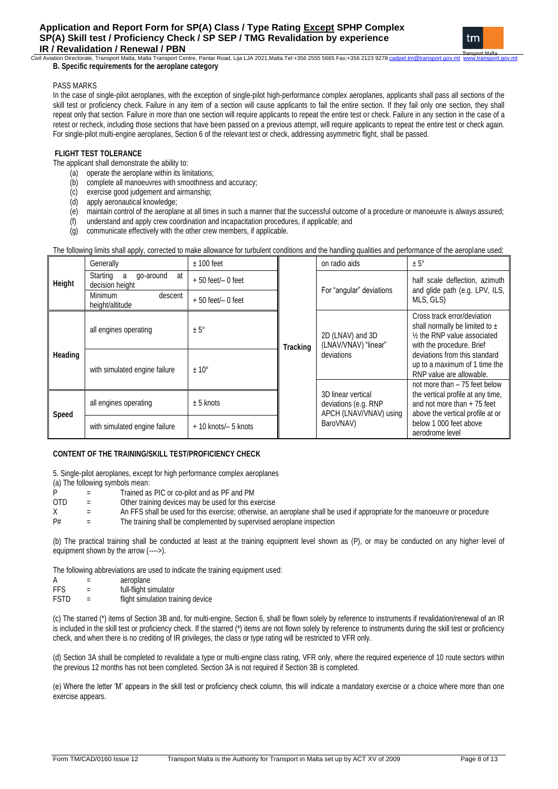### .<br>Ation Directorate, Transport Malta, Malta Transport Centre, Pantar Road, Lija LJA 2021,Malta.Tel:+356 2555 5665 Fax:+356 2123 9278 **B. Specific requirements for the aeroplane category**

## PASS MARKS

In the case of single-pilot aeroplanes, with the exception of single-pilot high-performance complex aeroplanes, applicants shall pass all sections of the skill test or proficiency check. Failure in any item of a section will cause applicants to fail the entire section. If they fail only one section, they shall repeat only that section. Failure in more than one section will require applicants to repeat the entire test or check. Failure in any section in the case of a retest or recheck, including those sections that have been passed on a previous attempt, will require applicants to repeat the entire test or check again. For single-pilot multi-engine aeroplanes, Section 6 of the relevant test or check, addressing asymmetric flight, shall be passed.

### **FLIGHT TEST TOLERANCE**

The applicant shall demonstrate the ability to:

- (a) operate the aeroplane within its limitations;
- (b) complete all manoeuvres with smoothness and accuracy;
- (c) exercise good judgement and airmanship;
- (d) apply aeronautical knowledge;
- (e) maintain control of the aeroplane at all times in such a manner that the successful outcome of a procedure or manoeuvre is always assured;<br>(f) understand and apply crew coordination and incapacitation procedures, if a
- understand and apply crew coordination and incapacitation procedures, if applicable; and
- (g) communicate effectively with the other crew members, if applicable.

The following limits shall apply, corrected to make allowance for turbulent conditions and the handling qualities and performance of the aeroplane used:

|         | Generally                                           | $± 100$ feet          | on radio aids<br>$± 5^\circ$<br>For "angular" deviations |                                                                      |                                                                                                                                |  |
|---------|-----------------------------------------------------|-----------------------|----------------------------------------------------------|----------------------------------------------------------------------|--------------------------------------------------------------------------------------------------------------------------------|--|
| Height  | Starting<br>go-around<br>at<br>a<br>decision height | $+50$ feet/ $-0$ feet |                                                          |                                                                      | half scale deflection, azimuth<br>and glide path (e.g. LPV, ILS,<br>MLS, GLS)                                                  |  |
|         | <b>Minimum</b><br>descent<br>height/altitude        | $+50$ feet/ $-0$ feet |                                                          |                                                                      |                                                                                                                                |  |
|         | all engines operating                               | $± 5^{\circ}$         | <b>Tracking</b>                                          | 2D (LNAV) and 3D<br>(LNAV/VNAV) "linear"                             | Cross track error/deviation<br>shall normally be limited to $\pm$<br>1/2 the RNP value associated<br>with the procedure. Brief |  |
| Heading | with simulated engine failure                       | $± 10^{\circ}$        |                                                          | deviations                                                           | deviations from this standard<br>up to a maximum of 1 time the<br>RNP value are allowable.                                     |  |
|         |                                                     |                       |                                                          |                                                                      | not more than $-75$ feet below                                                                                                 |  |
| Speed   | all engines operating                               | $± 5$ knots           |                                                          | 3D linear vertical<br>deviations (e.g. RNP<br>APCH (LNAV/VNAV) using | the vertical profile at any time,<br>and not more than $+75$ feet<br>above the vertical profile at or                          |  |
|         | with simulated engine failure                       | + 10 knots/- 5 knots  |                                                          | BaroVNAV)                                                            | below 1,000 feet above<br>aerodrome level                                                                                      |  |

### **CONTENT OF THE TRAINING/SKILL TEST/PROFICIENCY CHECK**

5. Single-pilot aeroplanes, except for high performance complex aeroplanes (a) The following symbols mean:

- P = Trained as PIC or co-pilot and as PF and PM
- OTD = Other training devices may be used for this exercise
- $X =$  An FFS shall be used for this exercise; otherwise, an aeroplane shall be used if appropriate for the manoeuvre or procedure  $P#$  = The training shall be complemented by supervised aeroplane inspection
- The training shall be complemented by supervised aeroplane inspection

(b) The practical training shall be conducted at least at the training equipment level shown as (P), or may be conducted on any higher level of equipment shown by the arrow (---->).

The following abbreviations are used to indicate the training equipment used:

| Α | aeroplane |  |
|---|-----------|--|
|   |           |  |

- FFS = full-flight simulator
- FSTD = flight simulation training device

(c) The starred (\*) items of Section 3B and, for multi-engine, Section 6, shall be flown solely by reference to instruments if revalidation/renewal of an IR is included in the skill test or proficiency check. If the starred (\*) items are not flown solely by reference to instruments during the skill test or proficiency check, and when there is no crediting of IR privileges, the class or type rating will be restricted to VFR only.

(d) Section 3A shall be completed to revalidate a type or multi-engine class rating, VFR only, where the required experience of 10 route sectors within the previous 12 months has not been completed. Section 3A is not required if Section 3B is completed.

(e) Where the letter 'M' appears in the skill test or proficiency check column, this will indicate a mandatory exercise or a choice where more than one exercise appears.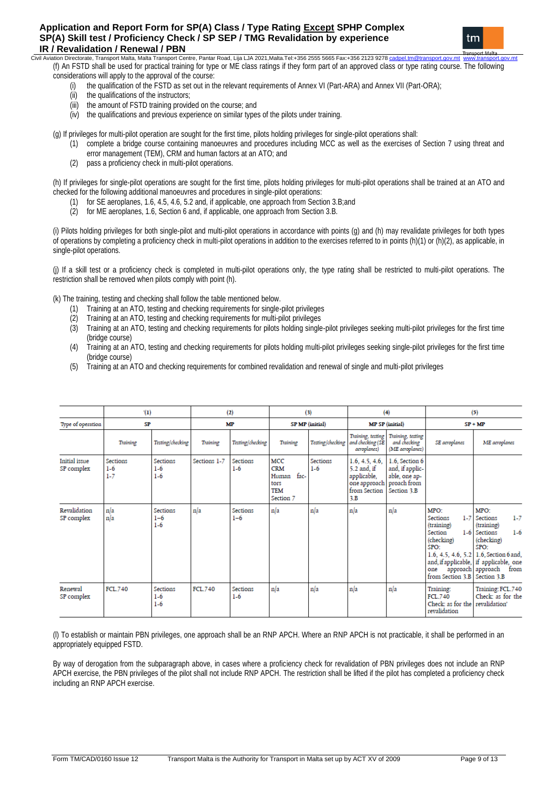## **Application and Report Form for SP(A) Class / Type Rating Except SPHP Complex SP(A) Skill test / Proficiency Check / SP SEP / TMG Revalidation by experience IR / Revalidation / Renewal / PBN**<br>Civil Aviation Directorate, Transport Malta, Malta Transport Ce



econ<br>Civil Aviation Directorate, Transport Malta, Malta Transport Centre, Pantar Road, Lija LJA 2021,Malta.Tel:+356 2555 5665 Fax:+356 2123 9278 (f) An FSTD shall be used for practical training for type or ME class ratings if they form part of an approved class or type rating course. The following considerations will apply to the approval of the course:

- (i) the qualification of the FSTD as set out in the relevant requirements of Annex VI (Part-ARA) and Annex VII (Part-ORA);
- (ii) the qualifications of the instructors;
- (iii) the amount of FSTD training provided on the course; and
- (iv) the qualifications and previous experience on similar types of the pilots under training.

(g) If privileges for multi-pilot operation are sought for the first time, pilots holding privileges for single-pilot operations shall:

- (1) complete a bridge course containing manoeuvres and procedures including MCC as well as the exercises of Section 7 using threat and error management (TEM), CRM and human factors at an ATO; and
- (2) pass a proficiency check in multi-pilot operations.

(h) If privileges for single-pilot operations are sought for the first time, pilots holding privileges for multi-pilot operations shall be trained at an ATO and checked for the following additional manoeuvres and procedures in single-pilot operations:

- (1) for SE aeroplanes, 1.6, 4.5, 4.6, 5.2 and, if applicable, one approach from Section 3.B;and
- (2) for ME aeroplanes, 1.6, Section 6 and, if applicable, one approach from Section 3.B.

(i) Pilots holding privileges for both single-pilot and multi-pilot operations in accordance with points (g) and (h) may revalidate privileges for both types of operations by completing a proficiency check in multi-pilot operations in addition to the exercises referred to in points (h)(1) or (h)(2), as applicable, in single-pilot operations.

(j) If a skill test or a proficiency check is completed in multi-pilot operations only, the type rating shall be restricted to multi-pilot operations. The restriction shall be removed when pilots comply with point (h).

(k) The training, testing and checking shall follow the table mentioned below.

- (1) Training at an ATO, testing and checking requirements for single-pilot privileges
- (2) Training at an ATO, testing and checking requirements for multi-pilot privileges
- (3) Training at an ATO, testing and checking requirements for pilots holding single-pilot privileges seeking multi-pilot privileges for the first time (bridge course)
- (4) Training at an ATO, testing and checking requirements for pilots holding multi-pilot privileges seeking single-pilot privileges for the first time (bridge course)
- (5) Training at an ATO and checking requirements for combined revalidation and renewal of single and multi-pilot privileges

|                             | (1)                                 |                              |              | (2)                      |                                                                       | (3)                      |                                                                                     | (4)                                                                              |                                                                                                               | (5)                                                                                                                                                                                                           |
|-----------------------------|-------------------------------------|------------------------------|--------------|--------------------------|-----------------------------------------------------------------------|--------------------------|-------------------------------------------------------------------------------------|----------------------------------------------------------------------------------|---------------------------------------------------------------------------------------------------------------|---------------------------------------------------------------------------------------------------------------------------------------------------------------------------------------------------------------|
| Type of operation           | SP                                  |                              |              | МP                       |                                                                       | SP MP (initial)          |                                                                                     | <b>MP SP</b> (initial)                                                           |                                                                                                               | $SP + MP$                                                                                                                                                                                                     |
|                             | Training                            | Testing/checking             | Training     | Testing/checking         | Training                                                              | Testing/checking         | Training, testing<br>and checking (SE<br>aeroplanes)                                | Training, testing<br>and checking<br>(ME aeroplanes)                             | SE aeroplanes                                                                                                 | ME aeroplanes                                                                                                                                                                                                 |
| Initial issue<br>SP complex | <b>Sections</b><br>$1-6$<br>$1 - 7$ | Sections<br>$1-6$<br>$1-6$   | Sections 1-7 | <b>Sections</b><br>$1-6$ | MCC<br><b>CRM</b><br>fac-<br>Human<br>tors<br><b>TEM</b><br>Section 7 | <b>Sections</b><br>$1-6$ | 1.6, 4.5, 4.6,<br>5.2 and, if<br>applicable,<br>one approach<br>from Section<br>3.B | 1.6, Section 6<br>and, if applic-<br>able, one ap-<br>proach from<br>Section 3.B |                                                                                                               |                                                                                                                                                                                                               |
| Revalidation<br>SP complex  | n/a<br>n/a                          | Sections<br>$1 - 6$<br>$1-6$ | n/a          | Sections<br>$1 - 6$      | n/a                                                                   | n/a                      | n/a                                                                                 | n/a                                                                              | MPO:<br><b>Sections</b><br>(training)<br>Section<br>(checking)<br>SPO:<br>one<br>from Section 3.B Section 3.B | MPO:<br>$1 - 7$<br>1-7 Sections<br>(training)<br>$1-6$<br>1-6 Sections<br>(checking)<br>SPO:<br>1.6, 4.5, 4.6, 5.2 1.6, Section 6 and,<br>and, if applicable, if applicable, one<br>approach approach<br>from |
| Renewal<br>SP complex       | <b>FCL.740</b>                      | Sections<br>$1-6$<br>$1-6$   | FCL.740      | Sections<br>$1-6$        | n/a                                                                   | n/a                      | n/a                                                                                 | n/a                                                                              | Training:<br>FCL.740<br>Check: as for the revalidation'<br>revalidation                                       | Training: FCL.740<br>Check: as for the                                                                                                                                                                        |

(l) To establish or maintain PBN privileges, one approach shall be an RNP APCH. Where an RNP APCH is not practicable, it shall be performed in an appropriately equipped FSTD.

By way of derogation from the subparagraph above, in cases where a proficiency check for revalidation of PBN privileges does not include an RNP APCH exercise, the PBN privileges of the pilot shall not include RNP APCH. The restriction shall be lifted if the pilot has completed a proficiency check including an RNP APCH exercise.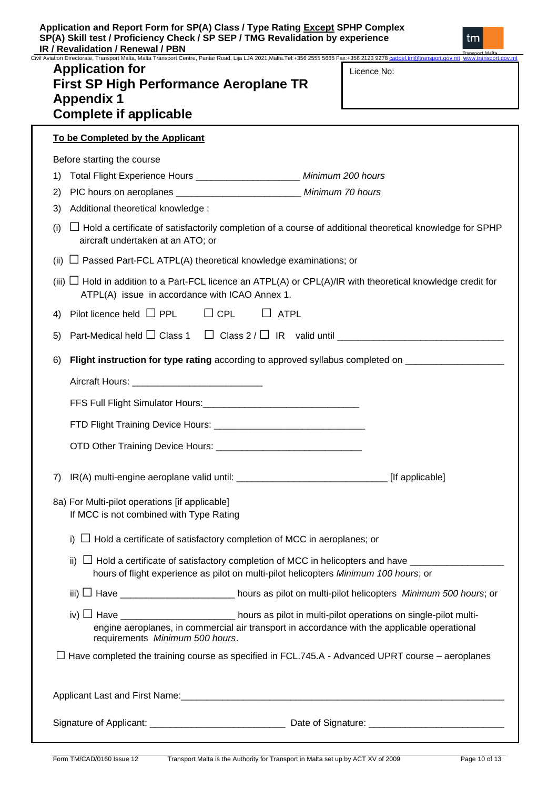Civil Aviation Directorate, Transport Malta, Malta Transport Centre, Pantar Road, Lija LJA 2021, Malta.Tel:+356 2555 5665 Fax:+356 2123 9278 cad<br>Civil Aviation Directorate, Transport Malta, Malta Transport Centre, Pantar R

# **Application for First SP High Performance Aeroplane TR Appendix 1 Complete if applicable**

| Licence No: |  |
|-------------|--|
|             |  |

**To be Completed by the Applicant** Before starting the course 1) Total Flight Experience Hours \_\_\_\_\_\_\_\_\_\_\_\_\_\_\_\_\_\_\_\_ *Minimum 200 hours* 2) PIC hours on aeroplanes \_\_\_\_\_\_\_\_\_\_\_\_\_\_\_\_\_\_\_\_\_\_\_\_ *Minimum 70 hours* 3) Additional theoretical knowledge : (i) **□** Hold a certificate of satisfactorily completion of a course of additional theoretical knowledge for SPHP aircraft undertaken at an ATO; or (ii) **□** Passed Part-FCL ATPL(A) theoretical knowledge examinations; or (iii)  $\Box$  Hold in addition to a Part-FCL licence an ATPL(A) or CPL(A)/IR with theoretical knowledge credit for ATPL(A) issue in accordance with ICAO Annex 1. 4) Pilot licence held **□** PPL **□** CPL **□** ATPL 5) Part-Medical held □ Class 1 □ Class 2 / □ IR valid until 6) **Flight instruction for type rating** according to approved syllabus completed on \_\_\_\_\_\_\_\_\_\_\_\_\_\_\_\_\_\_\_ Aircraft Hours: **Example 20** FFS Full Flight Simulator Hours:\_\_\_\_\_\_\_\_\_\_\_\_\_\_\_\_\_\_\_\_\_\_\_\_\_\_\_\_\_\_ FTD Flight Training Device Hours: \_\_\_\_\_\_\_\_\_\_\_\_\_\_\_\_\_\_\_\_\_\_\_\_\_\_\_\_\_ OTD Other Training Device Hours: \_\_\_\_\_\_\_\_\_\_\_\_\_\_\_\_\_\_\_\_\_\_\_\_\_\_\_\_ 7) IR(A) multi-engine aeroplane valid until: \_\_\_\_\_\_\_\_\_\_\_\_\_\_\_\_\_\_\_\_\_\_\_\_\_\_\_\_\_\_\_\_\_\_\_ [If applicable] 8a) For Multi-pilot operations [if applicable] If MCC is not combined with Type Rating i) **□** Hold a certificate of satisfactory completion of MCC in aeroplanes; or ii)  $\Box$  Hold a certificate of satisfactory completion of MCC in helicopters and have hours of flight experience as pilot on multi-pilot helicopters *Minimum 100 hours*; or iii) **□** Have \_\_\_\_\_\_\_\_\_\_\_\_\_\_\_\_\_\_\_\_\_\_ hours as pilot on multi-pilot helicopters *Minimum 500 hours*; or iv) **□** Have \_\_\_\_\_\_\_\_\_\_\_\_\_\_\_\_\_\_\_\_\_\_ hours as pilot in multi-pilot operations on single-pilot multiengine aeroplanes, in commercial air transport in accordance with the applicable operational requirements *Minimum 500 hours*. **□** Have completed the training course as specified in FCL.745.A - Advanced UPRT course – aeroplanes Applicant Last and First Name:  $\Box$ 

Signature of Applicant: \_\_\_\_\_\_\_\_\_\_\_\_\_\_\_\_\_\_\_\_\_\_\_\_\_\_ Date of Signature: \_\_\_\_\_\_\_\_\_\_\_\_\_\_\_\_\_\_\_\_\_\_\_\_\_\_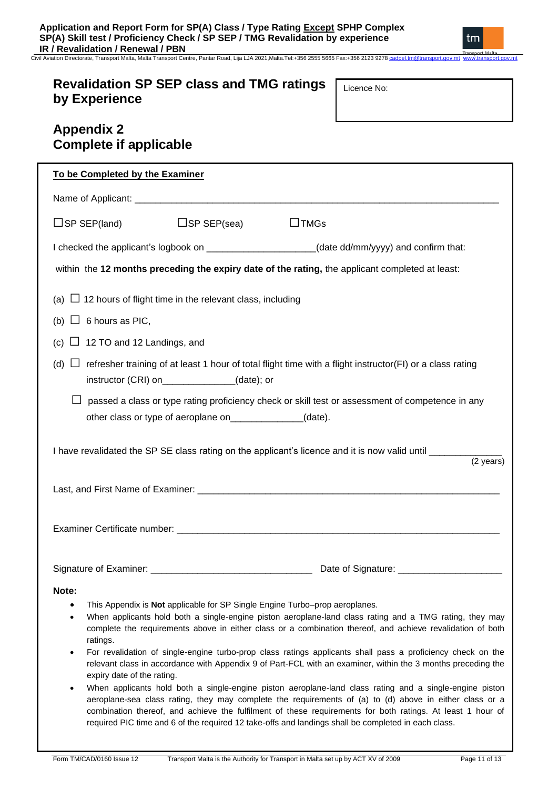Civil Aviation Directorate, Transport Malta, Malta Transport Centre, Pantar Road, Lija LJA 2021,Malta.Tel:+356 2555 5665 Fax:+356 2123 927[8 cadpel.tm@transport.gov.mt](mailto:cadpel.tm@transport.gov.mt) www.transport.gov.mt

# **Revalidation SP SEP class and TMG ratings by Experience**

Licence No:

tm

|                                      | <b>Appendix 2</b><br><b>Complete if applicable</b> |                                                                             |                                                                                                                                                                                                                                                                                                                                                                                                                                                                                                                                                                                                                                                                                                                                                                                                                                                                                                 |
|--------------------------------------|----------------------------------------------------|-----------------------------------------------------------------------------|-------------------------------------------------------------------------------------------------------------------------------------------------------------------------------------------------------------------------------------------------------------------------------------------------------------------------------------------------------------------------------------------------------------------------------------------------------------------------------------------------------------------------------------------------------------------------------------------------------------------------------------------------------------------------------------------------------------------------------------------------------------------------------------------------------------------------------------------------------------------------------------------------|
|                                      | To be Completed by the Examiner                    |                                                                             |                                                                                                                                                                                                                                                                                                                                                                                                                                                                                                                                                                                                                                                                                                                                                                                                                                                                                                 |
|                                      |                                                    |                                                                             |                                                                                                                                                                                                                                                                                                                                                                                                                                                                                                                                                                                                                                                                                                                                                                                                                                                                                                 |
|                                      | $\Box$ SP SEP(land)                                | $\Box$ SP SEP(sea)                                                          | $\Box$ TMGs                                                                                                                                                                                                                                                                                                                                                                                                                                                                                                                                                                                                                                                                                                                                                                                                                                                                                     |
|                                      |                                                    |                                                                             | I checked the applicant's logbook on _____________________(date dd/mm/yyyy) and confirm that:                                                                                                                                                                                                                                                                                                                                                                                                                                                                                                                                                                                                                                                                                                                                                                                                   |
|                                      |                                                    |                                                                             | within the 12 months preceding the expiry date of the rating, the applicant completed at least:                                                                                                                                                                                                                                                                                                                                                                                                                                                                                                                                                                                                                                                                                                                                                                                                 |
|                                      |                                                    | (a) $\Box$ 12 hours of flight time in the relevant class, including         |                                                                                                                                                                                                                                                                                                                                                                                                                                                                                                                                                                                                                                                                                                                                                                                                                                                                                                 |
|                                      | (b) $\Box$ 6 hours as PIC,                         |                                                                             |                                                                                                                                                                                                                                                                                                                                                                                                                                                                                                                                                                                                                                                                                                                                                                                                                                                                                                 |
|                                      | (c) $\Box$ 12 TO and 12 Landings, and              |                                                                             |                                                                                                                                                                                                                                                                                                                                                                                                                                                                                                                                                                                                                                                                                                                                                                                                                                                                                                 |
| (d)                                  |                                                    | instructor (CRI) on______________(date); or                                 | refresher training of at least 1 hour of total flight time with a flight instructor(FI) or a class rating                                                                                                                                                                                                                                                                                                                                                                                                                                                                                                                                                                                                                                                                                                                                                                                       |
|                                      |                                                    | other class or type of aeroplane on_______________(date).                   | passed a class or type rating proficiency check or skill test or assessment of competence in any                                                                                                                                                                                                                                                                                                                                                                                                                                                                                                                                                                                                                                                                                                                                                                                                |
|                                      |                                                    |                                                                             | I have revalidated the SP SE class rating on the applicant's licence and it is now valid until ______________<br>$\frac{1}{(2 \text{ years})}$                                                                                                                                                                                                                                                                                                                                                                                                                                                                                                                                                                                                                                                                                                                                                  |
|                                      |                                                    |                                                                             |                                                                                                                                                                                                                                                                                                                                                                                                                                                                                                                                                                                                                                                                                                                                                                                                                                                                                                 |
|                                      |                                                    |                                                                             |                                                                                                                                                                                                                                                                                                                                                                                                                                                                                                                                                                                                                                                                                                                                                                                                                                                                                                 |
|                                      |                                                    |                                                                             |                                                                                                                                                                                                                                                                                                                                                                                                                                                                                                                                                                                                                                                                                                                                                                                                                                                                                                 |
| Note:<br>$\bullet$<br>$\bullet$<br>٠ | ratings.<br>expiry date of the rating.             | This Appendix is Not applicable for SP Single Engine Turbo-prop aeroplanes. | When applicants hold both a single-engine piston aeroplane-land class rating and a TMG rating, they may<br>complete the requirements above in either class or a combination thereof, and achieve revalidation of both<br>For revalidation of single-engine turbo-prop class ratings applicants shall pass a proficiency check on the<br>relevant class in accordance with Appendix 9 of Part-FCL with an examiner, within the 3 months preceding the<br>When applicants hold both a single-engine piston aeroplane-land class rating and a single-engine piston<br>aeroplane-sea class rating, they may complete the requirements of (a) to (d) above in either class or a<br>combination thereof, and achieve the fulfilment of these requirements for both ratings. At least 1 hour of<br>required PIC time and 6 of the required 12 take-offs and landings shall be completed in each class. |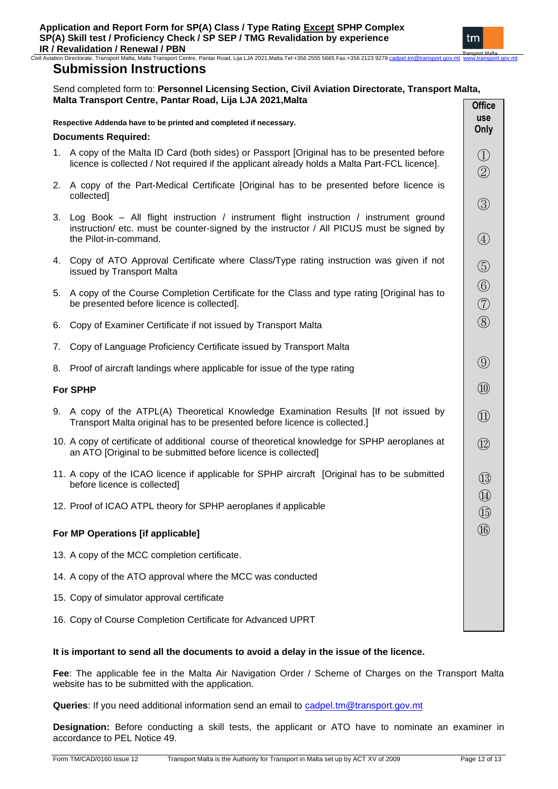Civil Aviation Directorate, Transport Malta, Malta Transport Centre, Pantar Road, Lija LJA 2021,Malta.Tel:+356 2555 5665 Fax:+356 2123 927[8 cadpel.tm@transport.gov.mt](mailto:cadpel.tm@transport.gov.mt) www.transport.gov.mt

## **Submission Instructions**

#### Send completed form to: **Personnel Licensing Section, Civil Aviation Directorate, Transport Malta, Malta Transport Centre, Pantar Road, Lija LJA 2021,Malta Office**

|    |                                                                                                                                                                                                               | אוווע                                                                                                                                                                                                                                                                                                                                                              |
|----|---------------------------------------------------------------------------------------------------------------------------------------------------------------------------------------------------------------|--------------------------------------------------------------------------------------------------------------------------------------------------------------------------------------------------------------------------------------------------------------------------------------------------------------------------------------------------------------------|
|    | Respective Addenda have to be printed and completed if necessary.                                                                                                                                             | <b>use</b><br>Only                                                                                                                                                                                                                                                                                                                                                 |
|    | <b>Documents Required:</b>                                                                                                                                                                                    |                                                                                                                                                                                                                                                                                                                                                                    |
|    | 1. A copy of the Malta ID Card (both sides) or Passport [Original has to be presented before<br>licence is collected / Not required if the applicant already holds a Malta Part-FCL licence].                 | $\bigcirc$<br>$\circled{2}$                                                                                                                                                                                                                                                                                                                                        |
|    | 2. A copy of the Part-Medical Certificate [Original has to be presented before licence is<br>collected]                                                                                                       | $\circledS$                                                                                                                                                                                                                                                                                                                                                        |
|    | 3. Log Book – All flight instruction / instrument flight instruction / instrument ground<br>instruction/ etc. must be counter-signed by the instructor / All PICUS must be signed by<br>the Pilot-in-command. | $\bigcircled{4}$                                                                                                                                                                                                                                                                                                                                                   |
|    | 4. Copy of ATO Approval Certificate where Class/Type rating instruction was given if not<br>issued by Transport Malta                                                                                         | $\circledS$                                                                                                                                                                                                                                                                                                                                                        |
|    | 5. A copy of the Course Completion Certificate for the Class and type rating [Original has to<br>be presented before licence is collected].                                                                   | $\circledS$<br>$\begin{picture}(20,20) \put(0,0){\line(1,0){10}} \put(15,0){\line(1,0){10}} \put(15,0){\line(1,0){10}} \put(15,0){\line(1,0){10}} \put(15,0){\line(1,0){10}} \put(15,0){\line(1,0){10}} \put(15,0){\line(1,0){10}} \put(15,0){\line(1,0){10}} \put(15,0){\line(1,0){10}} \put(15,0){\line(1,0){10}} \put(15,0){\line(1,0){10}} \put(15,0){\line(1$ |
| 6. | Copy of Examiner Certificate if not issued by Transport Malta                                                                                                                                                 | $\circledS$                                                                                                                                                                                                                                                                                                                                                        |
| 7. | Copy of Language Proficiency Certificate issued by Transport Malta                                                                                                                                            |                                                                                                                                                                                                                                                                                                                                                                    |
| 8. | Proof of aircraft landings where applicable for issue of the type rating                                                                                                                                      | $\circled{9}$                                                                                                                                                                                                                                                                                                                                                      |
|    | <b>For SPHP</b>                                                                                                                                                                                               | $^{\textcircled{\footnotesize{10}}}$                                                                                                                                                                                                                                                                                                                               |
|    | 9. A copy of the ATPL(A) Theoretical Knowledge Examination Results [If not issued by<br>Transport Malta original has to be presented before licence is collected.]                                            | $^{\textcircled{\footnotesize{1}}}$                                                                                                                                                                                                                                                                                                                                |
|    | 10. A copy of certificate of additional course of theoretical knowledge for SPHP aeroplanes at<br>an ATO [Original to be submitted before licence is collected]                                               | $\circled{1}$                                                                                                                                                                                                                                                                                                                                                      |
|    | 11. A copy of the ICAO licence if applicable for SPHP aircraft [Original has to be submitted<br>before licence is collected]                                                                                  | $\circled{1}$                                                                                                                                                                                                                                                                                                                                                      |
|    | 12. Proof of ICAO ATPL theory for SPHP aeroplanes if applicable                                                                                                                                               | $\circled{4}$<br>$\circled{1}$                                                                                                                                                                                                                                                                                                                                     |
|    | For MP Operations [if applicable]                                                                                                                                                                             | $\overline{\textcircled{\scriptsize{1}}}$                                                                                                                                                                                                                                                                                                                          |
|    | 13. A copy of the MCC completion certificate.                                                                                                                                                                 |                                                                                                                                                                                                                                                                                                                                                                    |
|    | 14. A copy of the ATO approval where the MCC was conducted                                                                                                                                                    |                                                                                                                                                                                                                                                                                                                                                                    |
|    | 15. Copy of simulator approval certificate                                                                                                                                                                    |                                                                                                                                                                                                                                                                                                                                                                    |
|    | 16. Copy of Course Completion Certificate for Advanced UPRT                                                                                                                                                   |                                                                                                                                                                                                                                                                                                                                                                    |

## **It is important to send all the documents to avoid a delay in the issue of the licence.**

**Fee**: The applicable fee in the Malta Air Navigation Order / Scheme of Charges on the Transport Malta website has to be submitted with the application.

Queries: If you need additional information send an email to [cadpel.tm@transport.gov.mt](mailto:cadpel.tm@transport.gov.mt)

**Designation:** Before conducting a skill tests, the applicant or ATO have to nominate an examiner in accordance to PEL Notice 49.